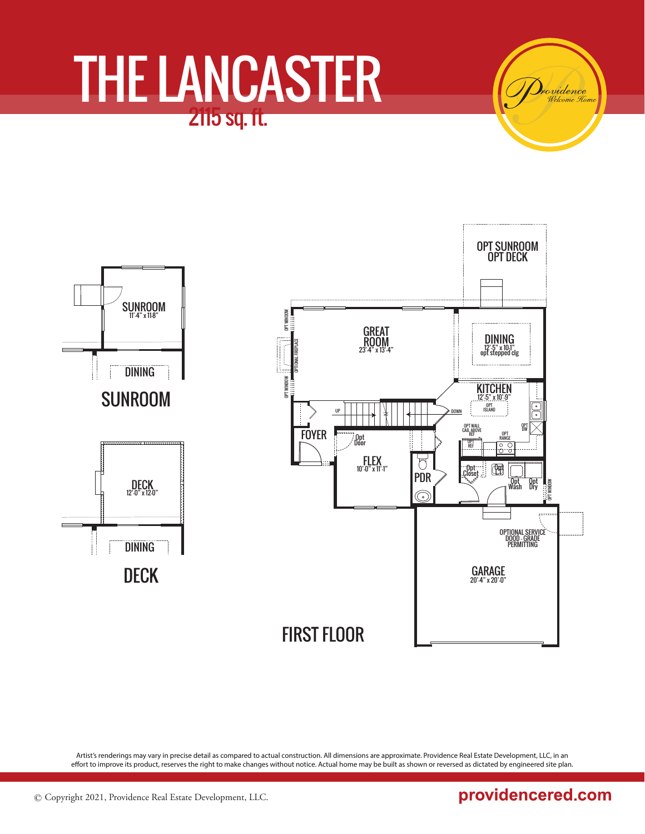

Artist's renderings may vary in precise detail as compared to actual construction. All dimensions are approximate. Providence Real Estate Development, LLC, in an effort to improve its product, reserves the right to make changes without notice. Actual home may be built as shown or reversed as dictated by engineered site plan.

providencered.com

rvidence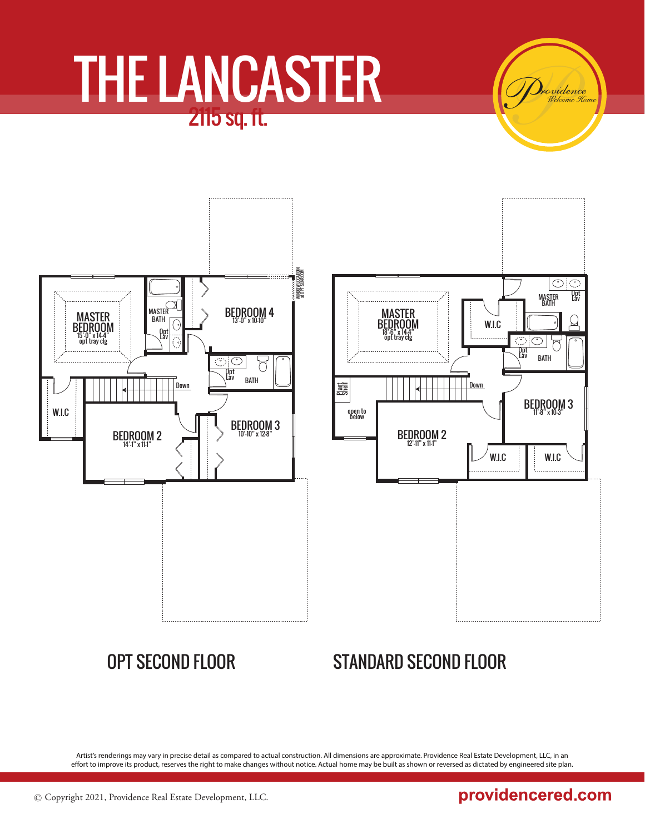WINDOW LOCATION at OPT SUNROOM MNDOW LOCATIC<br>at opt sunroon ≡nanan MASTER<sup>C</sup> BEDROOM 4 MASTER **BATH** G 13'-0" x 10-10" BEDROOM Opt Lav 15'-0" x 14-4" opt tray clg  $\bigcirc$  $\sum_{i=1}^n$ Opt Lav BATH  $\vert$  Down W.I.C BEDROOM 3 10'-10" x 12-8" BEDROOM 2 14'-1" x 11-1"

### OPT SECOND FLOOR STANDARD SECOND FLOOR

Artist's renderings may vary in precise detail as compared to actual construction. All dimensions are approximate. Providence Real Estate Development, LLC, in an effort to improve its product, reserves the right to make changes without notice. Actual home may be built as shown or reversed as dictated by engineered site plan.

providencered.com

rvidence

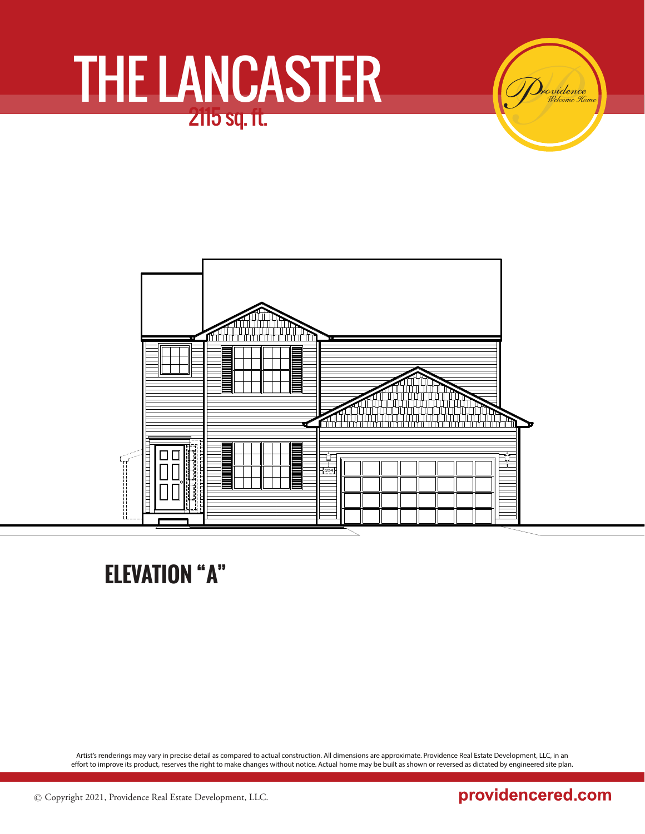in tit  $\frac{1}{124}$ 

**ELEVATION "A"**

Artist's renderings may vary in precise detail as compared to actual construction. All dimensions are approximate. Providence Real Estate Development, LLC, in an effort to improve its product, reserves the right to make changes without notice. Actual home may be built as shown or reversed as dictated by engineered site plan.

### providencered.com

ovidence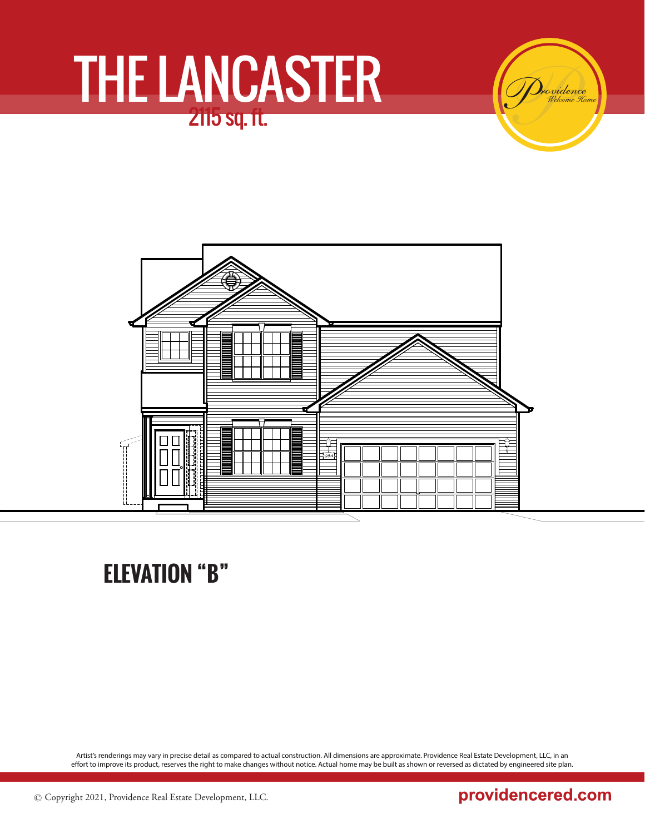ovidence



### **ELEVATION "B"**

Artist's renderings may vary in precise detail as compared to actual construction. All dimensions are approximate. Providence Real Estate Development, LLC, in an effort to improve its product, reserves the right to make changes without notice. Actual home may be built as shown or reversed as dictated by engineered site plan.

### providencered.com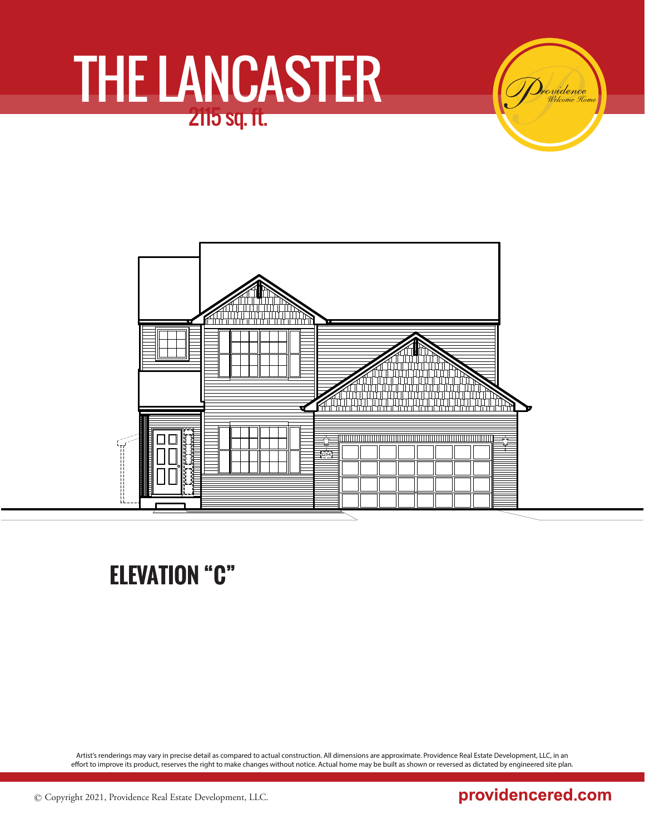ovidence



### **ELEVATION "C"**

Artist's renderings may vary in precise detail as compared to actual construction. All dimensions are approximate. Providence Real Estate Development, LLC, in an effort to improve its product, reserves the right to make changes without notice. Actual home may be built as shown or reversed as dictated by engineered site plan.

### providencered.com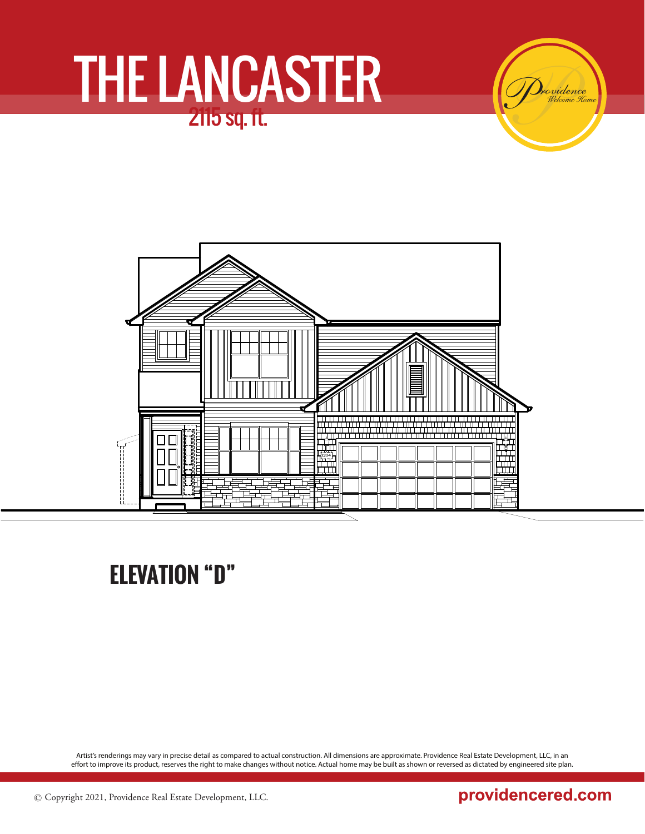ovidence



## **ELEVATION "D"**

Artist's renderings may vary in precise detail as compared to actual construction. All dimensions are approximate. Providence Real Estate Development, LLC, in an effort to improve its product, reserves the right to make changes without notice. Actual home may be built as shown or reversed as dictated by engineered site plan.

### providencered.com